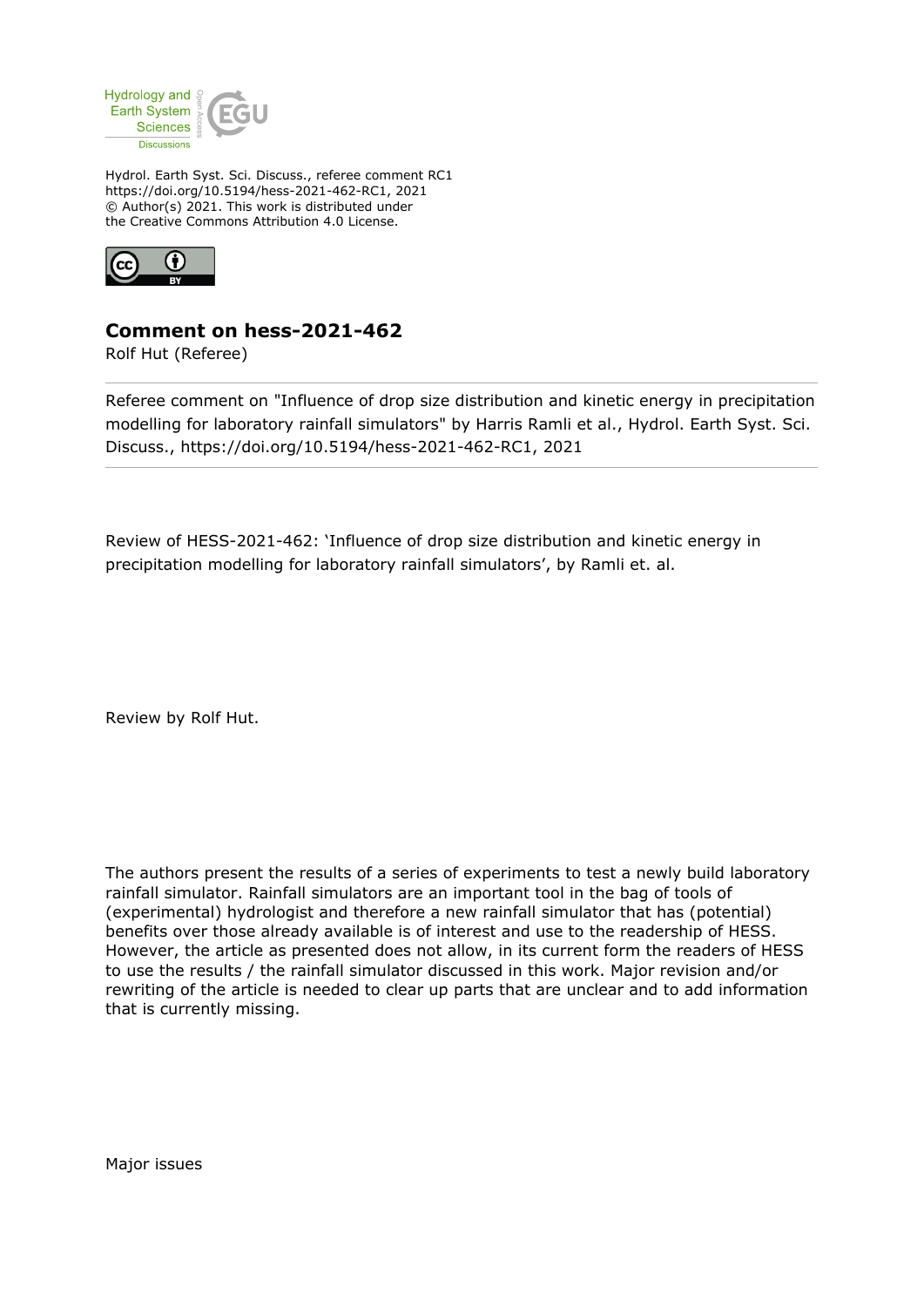

Hydrol. Earth Syst. Sci. Discuss., referee comment RC1 https://doi.org/10.5194/hess-2021-462-RC1, 2021 © Author(s) 2021. This work is distributed under the Creative Commons Attribution 4.0 License.



## **Comment on hess-2021-462**

Rolf Hut (Referee)

Referee comment on "Influence of drop size distribution and kinetic energy in precipitation modelling for laboratory rainfall simulators" by Harris Ramli et al., Hydrol. Earth Syst. Sci. Discuss., https://doi.org/10.5194/hess-2021-462-RC1, 2021

Review of HESS-2021-462: 'Influence of drop size distribution and kinetic energy in precipitation modelling for laboratory rainfall simulators', by Ramli et. al.

Review by Rolf Hut.

The authors present the results of a series of experiments to test a newly build laboratory rainfall simulator. Rainfall simulators are an important tool in the bag of tools of (experimental) hydrologist and therefore a new rainfall simulator that has (potential) benefits over those already available is of interest and use to the readership of HESS. However, the article as presented does not allow, in its current form the readers of HESS to use the results / the rainfall simulator discussed in this work. Major revision and/or rewriting of the article is needed to clear up parts that are unclear and to add information that is currently missing.

Major issues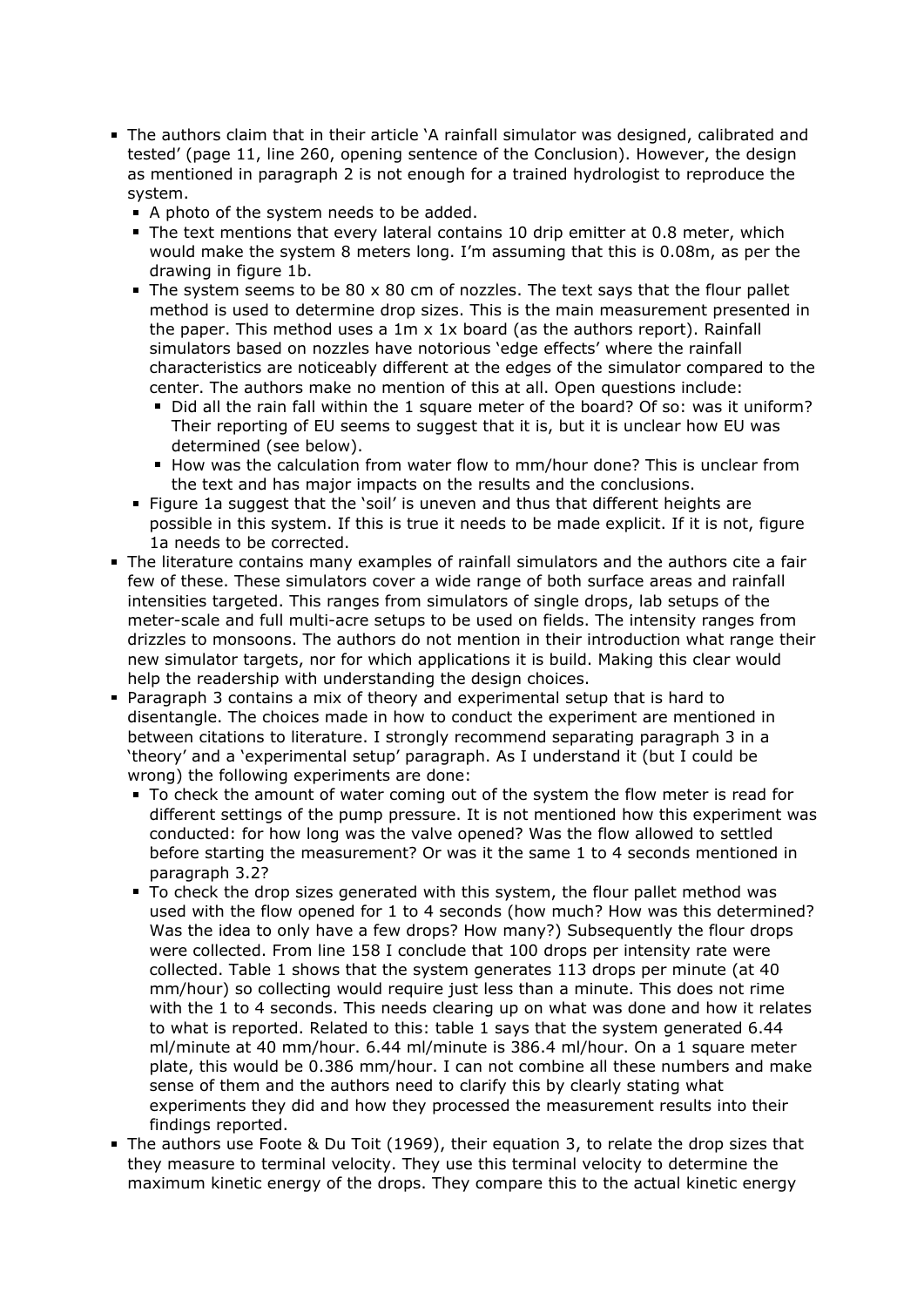- The authors claim that in their article 'A rainfall simulator was designed, calibrated and tested' (page 11, line 260, opening sentence of the Conclusion). However, the design as mentioned in paragraph 2 is not enough for a trained hydrologist to reproduce the system.
	- A photo of the system needs to be added.
	- The text mentions that every lateral contains 10 drip emitter at 0.8 meter, which would make the system 8 meters long. I'm assuming that this is 0.08m, as per the drawing in figure 1b.
	- The system seems to be  $80 \times 80$  cm of nozzles. The text says that the flour pallet method is used to determine drop sizes. This is the main measurement presented in the paper. This method uses a 1m x 1x board (as the authors report). Rainfall simulators based on nozzles have notorious 'edge effects' where the rainfall characteristics are noticeably different at the edges of the simulator compared to the center. The authors make no mention of this at all. Open questions include:
		- Did all the rain fall within the 1 square meter of the board? Of so: was it uniform? Their reporting of EU seems to suggest that it is, but it is unclear how EU was determined (see below).
		- How was the calculation from water flow to mm/hour done? This is unclear from the text and has major impacts on the results and the conclusions.
	- Figure 1a suggest that the 'soil' is uneven and thus that different heights are possible in this system. If this is true it needs to be made explicit. If it is not, figure 1a needs to be corrected.
- The literature contains many examples of rainfall simulators and the authors cite a fair few of these. These simulators cover a wide range of both surface areas and rainfall intensities targeted. This ranges from simulators of single drops, lab setups of the meter-scale and full multi-acre setups to be used on fields. The intensity ranges from drizzles to monsoons. The authors do not mention in their introduction what range their new simulator targets, nor for which applications it is build. Making this clear would help the readership with understanding the design choices.
- Paragraph 3 contains a mix of theory and experimental setup that is hard to disentangle. The choices made in how to conduct the experiment are mentioned in between citations to literature. I strongly recommend separating paragraph 3 in a 'theory' and a 'experimental setup' paragraph. As I understand it (but I could be wrong) the following experiments are done:
	- To check the amount of water coming out of the system the flow meter is read for different settings of the pump pressure. It is not mentioned how this experiment was conducted: for how long was the valve opened? Was the flow allowed to settled before starting the measurement? Or was it the same 1 to 4 seconds mentioned in paragraph 3.2?
	- To check the drop sizes generated with this system, the flour pallet method was used with the flow opened for 1 to 4 seconds (how much? How was this determined? Was the idea to only have a few drops? How many?) Subsequently the flour drops were collected. From line 158 I conclude that 100 drops per intensity rate were collected. Table 1 shows that the system generates 113 drops per minute (at 40 mm/hour) so collecting would require just less than a minute. This does not rime with the 1 to 4 seconds. This needs clearing up on what was done and how it relates to what is reported. Related to this: table 1 says that the system generated 6.44 ml/minute at 40 mm/hour. 6.44 ml/minute is 386.4 ml/hour. On a 1 square meter plate, this would be 0.386 mm/hour. I can not combine all these numbers and make sense of them and the authors need to clarify this by clearly stating what experiments they did and how they processed the measurement results into their findings reported.
- The authors use Foote & Du Toit (1969), their equation 3, to relate the drop sizes that they measure to terminal velocity. They use this terminal velocity to determine the maximum kinetic energy of the drops. They compare this to the actual kinetic energy